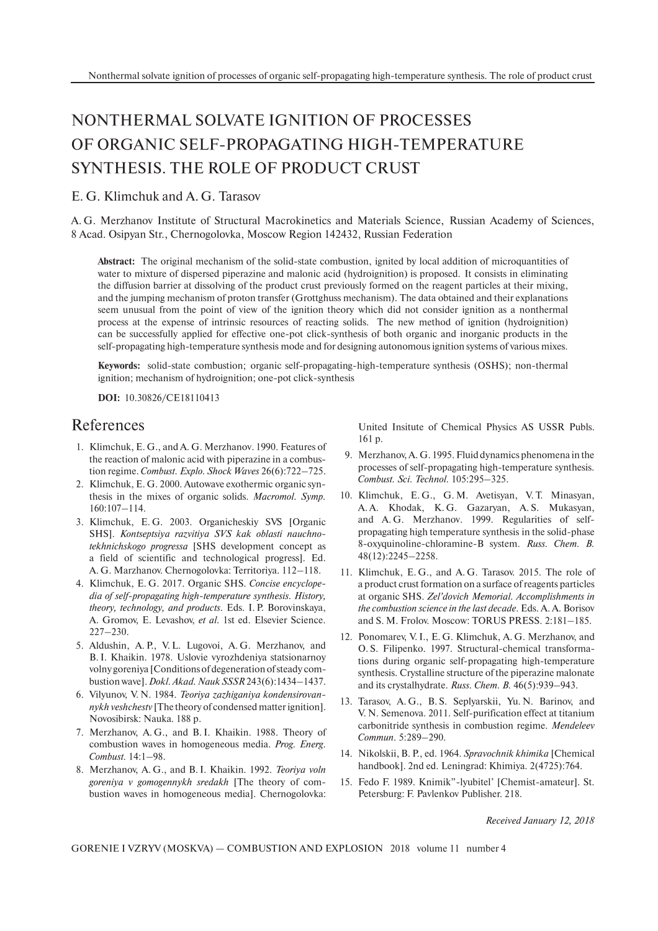## NONTHERMAL SOLVATE IGNITION OF PROCESSES OF ORGANIC SELF-PROPAGATING HIGH-TEMPERATURE SYNTHESIS. THE ROLE OF PRODUCT CRUST

## E. G. Klimchuk and A. G. Tarasov

A. G. Merzhanov Institute of Structural Macrokinetics and Materials Science, Russian Academy of Sciences, 8 Acad. Osipyan Str., Chernogolovka, Moscow Region 142432, Russian Federation

**Abstract:** The original mechanism of the solid-state combustion, ignited by local addition of microquantities of water to mixture of dispersed piperazine and malonic acid (hydroignition) is proposed. It consists in eliminating the diffusion barrier at dissolving of the product crust previously formed on the reagent particles at their mixing, and the jumping mechanism of proton transfer (Grottghuss mechanism). The data obtained and their explanations seem unusual from the point of view of the ignition theory which did not consider ignition as a nonthermal process at the expense of intrinsic resources of reacting solids. The new method of ignition (hydroignition) can be successfully applied for effective one-pot click-synthesis of both organic and inorganic products in the self-propagating high-temperature synthesis mode and for designing autonomous ignition systems of various mixes.

**Keywords:** solid-state combustion; organic self-propagating-high-temperature synthesis (OSHS); non-thermal ignition; mechanism of hydroignition; one-pot click-synthesis

**DOI:** 10.30826/CE18110413

## References

- 1. Klimchuk, E. G., and A. G. Merzhanov. 1990. Features of the reaction of malonic acid with piperazine in a combustion regime. *Combust. Explo. Shock Waves* 26(6):722–725.
- 2. Klimchuk, E. G. 2000. Autowave exothermic organic synthesis in the mixes of organic solids. *Macromol. Symp.* 160:107–114.
- 3. Klimchuk, E. G. 2003. Organicheskiy SVS [Organic SHS]. *Kontseptsiya razvitiya SVS kak oblasti nauchnotekhnichskogo progressa* [SHS development concept as a field of scientific and technological progress]. Ed. A. G. Marzhanov. Chernogolovka: Territoriya. 112–118.
- 4. Klimchuk, E. G. 2017. Organic SHS. *Concise encyclopedia of self-propagating high-temperature synthesis. History, theory, technology, and products*. Eds. I. P. Borovinskaya, A. Gromov, E. Levashov, *et al.* 1st ed. Elsevier Science. 227–230.
- 5. Aldushin, A. P., V. L. Lugovoi, A. G. Merzhanov, and B. I. Khaikin. 1978. Uslovie vyrozhdeniya statsionarnoy volny goreniya [Conditions of degeneration of steady combustion wave].*Dokl. Akad. Nauk SSSR*243(6):1434–1437.
- 6. Vilyunov, V. N. 1984. *Teoriya zazhiganiya kondensirovannykh veshchestv* [The theory of condensed matter ignition]. Novosibirsk: Nauka. 188 p.
- 7. Merzhanov, A. G., and B. I. Khaikin. 1988. Theory of combustion waves in homogeneous media. *Prog. Energ. Combust.* 14:1–98.
- 8. Merzhanov, A. G., and B. I. Khaikin. 1992. *Teoriya voln goreniya v gomogennykh sredakh* [The theory of combustion waves in homogeneous media]. Chernogolovka:

United Insitute of Chemical Physics AS USSR Publs. 161 p.

- 9. Merzhanov, A. G. 1995. Fluid dynamics phenomena in the processes of self-propagating high-temperature synthesis. *Combust. Sci. Technol.* 105:295–325.
- 10. Klimchuk, E. G., G. M. Avetisyan, V. T. Minasyan, A. A. Khodak, K. G. Gazaryan, A. S. Mukasyan, and A. G. Merzhanov. 1999. Regularities of selfpropagating high temperature synthesis in the solid-phase 8-oxyquinoline-chloramine-B system. *Russ. Chem. B.* 48(12):2245–2258.
- 11. Klimchuk, E. G., and A. G. Tarasov. 2015. The role of a product crust formation on a surface of reagents particles at organic SHS. *Zel'dovich Memorial. Accomplishments in the combustion science in the last decade*. Eds. A. A. Borisov and S. M. Frolov. Moscow: TORUS PRESS. 2:181–185.
- 12. Ponomarev, V. I., E. G. Klimchuk, A. G. Merzhanov, and O. S. Filipenko. 1997. Structural-chemical transformations during organic self-propagating high-temperature synthesis. Crystalline structure of the piperazine malonate and its crystalhydrate. *Russ. Chem. B.* 46(5):939–943.
- 13. Tarasov, A. G., B. S. Seplyarskii, Yu. N. Barinov, and V. N. Semenova. 2011. Self-purification effect at titanium carbonitride synthesis in combustion regime. *Mendeleev Commun.* 5:289–290.
- 14. Nikolskii, B. P., ed. 1964. *Spravochnik khimika* [Chemical handbook]. 2nd ed. Leningrad: Khimiya. 2(4725):764.
- 15. Fedo F. 1989. Knimik"-lyubitel' [Chemist-amateur]. St. Petersburg: F. Pavlenkov Publisher. 218.

*Received January 12, 2018*

GORENIE I VZRYV (MOSKVA) — COMBUSTION AND EXPLOSION 2018 volume 11 number 4